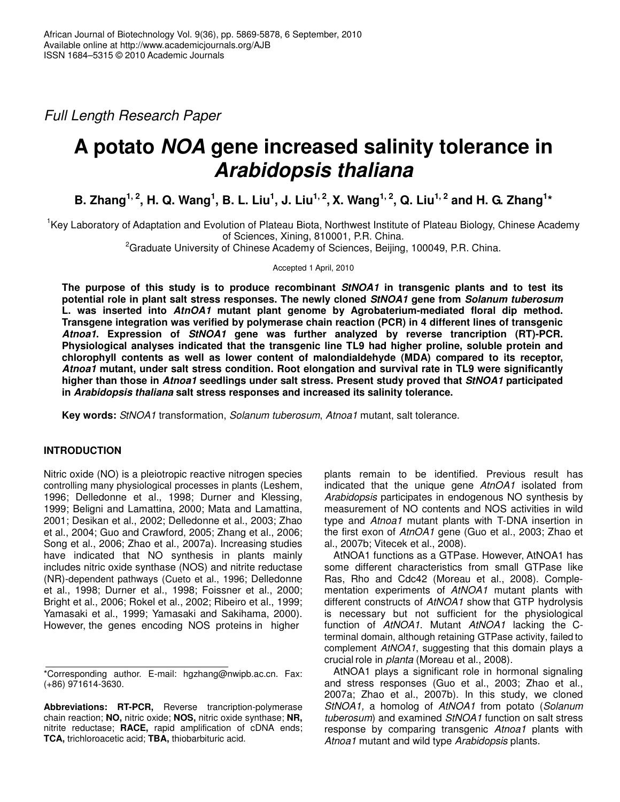*Full Length Research Paper*

# **A potato** *NOA* **gene increased salinity tolerance in** *Arabidopsis thaliana*

B. Zhang<sup>1, 2</sup>, H. Q. Wang<sup>1</sup>, B. L. Liu<sup>1</sup>, J. Liu<sup>1, 2</sup>, X. Wang<sup>1, 2</sup>, Q. Liu<sup>1, 2</sup> and H. G. Zhang<sup>1</sup>\*

<sup>1</sup>Key Laboratory of Adaptation and Evolution of Plateau Biota, Northwest Institute of Plateau Biology, Chinese Academy of Sciences, Xining, 810001, P.R. China.

 ${}^{2}$ Graduate University of Chinese Academy of Sciences, Beijing, 100049, P.R. China.

Accepted 1 April, 2010

**The purpose of this study is to produce recombinant** *StNOA1* **in transgenic plants and to test its potential role in plant salt stress responses. The newly cloned** *StNOA1* **gene from** *Solanum tuberosum* **L. was inserted into** *AtnOA1* **mutant plant genome by Agrobaterium-mediated floral dip method. Transgene integration was verified by polymerase chain reaction (PCR) in 4 different lines of transgenic** *Atnoa1***. Expression of** *StNOA1* **gene was further analyzed by reverse trancription (RT)-PCR. Physiological analyses indicated that the transgenic line TL9 had higher proline, soluble protein and chlorophyll contents as well as lower content of malondialdehyde (MDA) compared to its receptor,** *Atnoa1* **mutant, under salt stress condition. Root elongation and survival rate in TL9 were significantly higher than those in** *Atnoa1* **seedlings under salt stress. Present study proved that** *StNOA1* **participated in** *Arabidopsis thaliana* **salt stress responses and increased its salinity tolerance.**

**Key words:** *StNOA1* transformation, *Solanum tuberosum*, *Atnoa1* mutant, salt tolerance.

# **INTRODUCTION**

Nitric oxide (NO) is a pleiotropic reactive nitrogen species controlling many physiological processes in plants (Leshem, 1996; Delledonne et al., 1998; Durner and Klessing, 1999; Beligni and Lamattina, 2000; Mata and Lamattina, 2001; Desikan et al., 2002; Delledonne et al., 2003; Zhao et al., 2004; Guo and Crawford, 2005; Zhang et al., 2006; Song et al., 2006; Zhao et al., 2007a). Increasing studies have indicated that NO synthesis in plants mainly includes nitric oxide synthase (NOS) and nitrite reductase (NR)-dependent pathways (Cueto et al., 1996; Delledonne et al., 1998; Durner et al., 1998; Foissner et al., 2000; Bright et al., 2006; Rokel et al., 2002; Ribeiro et al., 1999; Yamasaki et al., 1999; Yamasaki and Sakihama, 2000). However, the genes encoding NOS proteins in higher

plants remain to be identified. Previous result has indicated that the unique gene *AtnOA1* isolated from *Arabidopsis* participates in endogenous NO synthesis by measurement of NO contents and NOS activities in wild type and *Atnoa1* mutant plants with T-DNA insertion in the first exon of *AtnOA1* gene (Guo et al., 2003; Zhao et al., 2007b; Vitecek et al., 2008).

AtNOA1 functions as a GTPase. However, AtNOA1 has some different characteristics from small GTPase like Ras, Rho and Cdc42 (Moreau et al., 2008). Complementation experiments of *AtNOA1* mutant plants with different constructs of *AtNOA1* show that GTP hydrolysis is necessary but not sufficient for the physiological function of *AtNOA1*. Mutant *AtNOA1* lacking the Cterminal domain, although retaining GTPase activity, failed to complement *AtNOA1*, suggesting that this domain plays a crucial role in *planta* (Moreau et al., 2008).

AtNOA1 plays a significant role in hormonal signaling and stress responses (Guo et al., 2003; Zhao et al., 2007a; Zhao et al., 2007b). In this study, we cloned *StNOA1,* a homolog of *AtNOA1* from potato (*Solanum tuberosum*) and examined *StNOA1* function on salt stress response by comparing transgenic *Atnoa1* plants with *Atnoa1* mutant and wild type *Arabidopsis* plants.

<sup>\*</sup>Corresponding author. E-mail: hgzhang@nwipb.ac.cn. Fax: (+86) 971614-3630.

**Abbreviations: RT-PCR,** Reverse trancription-polymerase chain reaction; **NO,** nitric oxide; **NOS,** nitric oxide synthase; **NR,** nitrite reductase; **RACE,** rapid amplification of cDNA ends; **TCA,** trichloroacetic acid; **TBA,** thiobarbituric acid.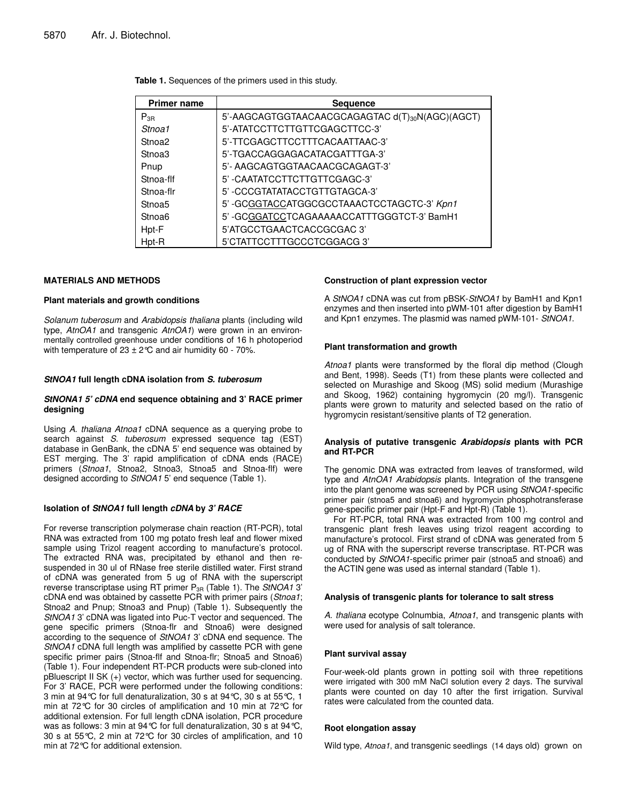| <b>Primer name</b> | <b>Sequence</b>                                 |
|--------------------|-------------------------------------------------|
| $P_{3B}$           | 5'-AAGCAGTGGTAACAACGCAGAGTAC d(T)30N(AGC)(AGCT) |
| Stnoa1             | 5'-ATATCCTTCTTGTTCGAGCTTCC-3'                   |
| Stnoa2             | 5'-TTCGAGCTTCCTTTCACAATTAAC-3'                  |
| Stnoa3             | 5'-TGACCAGGAGACATACGATTTGA-3'                   |
| Pnup               | 5'- AAGCAGTGGTAACAACGCAGAGT-3'                  |
| Stnoa-flf          | 5'-CAATATCCTTCTTGTTCGAGC-3'                     |
| Stnoa-flr          | 5'-CCCGTATATACCTGTTGTAGCA-3'                    |
| Stnoa <sub>5</sub> | 5'-GCGGTACCATGGCGCCTAAACTCCTAGCTC-3' Kpn1       |
| Stnoa6             | 5'-GCGGATCCTCAGAAAAACCATTTGGGTCT-3' BamH1       |
| Hpt-F              | 5'ATGCCTGAACTCACCGCGAC3'                        |
| Hpt-R              | 5'CTATTCCTTTGCCCTCGGACG3'                       |

**Table 1.** Sequences of the primers used in this study.

#### **MATERIALS AND METHODS**

#### **Plant materials and growth conditions**

*Solanum tuberosum* and *Arabidopsis thaliana* plants (including wild type, *AtnOA1* and transgenic *AtnOA1*) were grown in an environmentally controlled greenhouse under conditions of 16 h photoperiod with temperature of  $23 \pm 2^{\circ}$ C and air humidity 60 - 70%.

#### *StNOA1* **full length cDNA isolation from** *S. tuberosum*

#### *StNONA1 5' cDNA* **end sequence obtaining and 3' RACE primer designing**

Using *A. thaliana Atnoa1* cDNA sequence as a querying probe to search against *S. tuberosum* expressed sequence tag (EST) database in GenBank, the cDNA 5' end sequence was obtained by EST merging. The 3' rapid amplification of cDNA ends (RACE) primers (*Stnoa1*, Stnoa2, Stnoa3, Stnoa5 and Stnoa-flf) were designed according to *StNOA1* 5' end sequence (Table 1).

#### **Isolation of** *StNOA1* **full length** *cDNA* **by** *3' RACE*

For reverse transcription polymerase chain reaction (RT-PCR), total RNA was extracted from 100 mg potato fresh leaf and flower mixed sample using Trizol reagent according to manufacture's protocol. The extracted RNA was, precipitated by ethanol and then resuspended in 30 ul of RNase free sterile distilled water. First strand of cDNA was generated from 5 ug of RNA with the superscript reverse transcriptase using RT primer P3R (Table 1). The *StNOA1* 3' cDNA end was obtained by cassette PCR with primer pairs (*Stnoa1*; Stnoa2 and Pnup; Stnoa3 and Pnup) (Table 1). Subsequently the *StNOA1* 3' cDNA was ligated into Puc-T vector and sequenced. The gene specific primers (Stnoa-flr and Stnoa6) were designed according to the sequence of *StNOA1* 3' cDNA end sequence. The *StNOA1* cDNA full length was amplified by cassette PCR with gene specific primer pairs (Stnoa-flf and Stnoa-flr; Stnoa5 and Stnoa6) (Table 1). Four independent RT-PCR products were sub-cloned into pBluescript II SK (+) vector, which was further used for sequencing. For 3' RACE, PCR were performed under the following conditions: 3 min at 94°C for full denaturalization, 30 s at 94°C, 30 s at 55°C, 1 min at 72°C for 30 circles of amplification and 10 min at 72°C for additional extension. For full length cDNA isolation, PCR procedure was as follows: 3 min at 94°C for full denaturalization, 30 s at 94°C, 30 s at 55°C, 2 min at 72°C for 30 circles of amplification, and 10 min at 72°C for additional extension.

#### **Construction of plant expression vector**

A *StNOA1* cDNA was cut from pBSK-*StNOA1* by BamH1 and Kpn1 enzymes and then inserted into pWM-101 after digestion by BamH1 and Kpn1 enzymes. The plasmid was named pWM-101- *StNOA1*.

#### **Plant transformation and growth**

*Atnoa1* plants were transformed by the floral dip method (Clough and Bent, 1998). Seeds (T1) from these plants were collected and selected on Murashige and Skoog (MS) solid medium (Murashige and Skoog, 1962) containing hygromycin (20 mg/l). Transgenic plants were grown to maturity and selected based on the ratio of hygromycin resistant/sensitive plants of T2 generation.

#### **Analysis of putative transgenic** *Arabidopsis* **plants with PCR and RT-PCR**

The genomic DNA was extracted from leaves of transformed, wild type and *AtnOA1 Arabidopsis* plants. Integration of the transgene into the plant genome was screened by PCR using *StNOA1*-specific primer pair (stnoa5 and stnoa6) and hygromycin phosphotransferase gene-specific primer pair (Hpt-F and Hpt-R) (Table 1).

For RT-PCR, total RNA was extracted from 100 mg control and transgenic plant fresh leaves using trizol reagent according to manufacture's protocol. First strand of cDNA was generated from 5 ug of RNA with the superscript reverse transcriptase. RT-PCR was conducted by *StNOA1*-specific primer pair (stnoa5 and stnoa6) and the ACTIN gene was used as internal standard (Table 1).

#### **Analysis of transgenic plants for tolerance to salt stress**

*A. thaliana* ecotype Colnumbia, *Atnoa1*, and transgenic plants with were used for analysis of salt tolerance.

#### **Plant survival assay**

Four-week-old plants grown in potting soil with three repetitions were irrigated with 300 mM NaCl solution every 2 days. The survival plants were counted on day 10 after the first irrigation. Survival rates were calculated from the counted data.

#### **Root elongation assay**

Wild type, *Atnoa1*, and transgenic seedlings (14 days old) grown on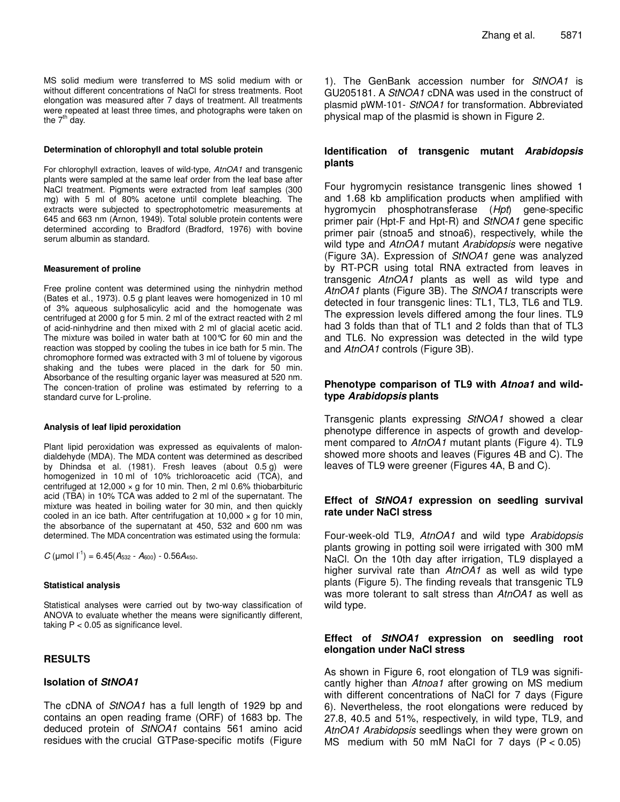MS solid medium were transferred to MS solid medium with or without different concentrations of NaCl for stress treatments. Root elongation was measured after 7 days of treatment. All treatments were repeated at least three times, and photographs were taken on the 7<sup>th</sup> day.

#### **Determination of chlorophyll and total soluble protein**

For chlorophyll extraction, leaves of wild-type, *AtnOA1* and transgenic plants were sampled at the same leaf order from the leaf base after NaCl treatment. Pigments were extracted from leaf samples (300 mg) with 5 ml of 80% acetone until complete bleaching. The extracts were subjected to spectrophotometric measurements at 645 and 663 nm (Arnon, 1949). Total soluble protein contents were determined according to Bradford (Bradford, 1976) with bovine serum albumin as standard.

#### **Measurement of proline**

Free proline content was determined using the ninhydrin method (Bates et al., 1973). 0.5 g plant leaves were homogenized in 10 ml of 3% aqueous sulphosalicylic acid and the homogenate was centrifuged at 2000 g for 5 min. 2 ml of the extract reacted with 2 ml of acid-ninhydrine and then mixed with 2 ml of glacial acetic acid. The mixture was boiled in water bath at 100°C for 60 min and the reaction was stopped by cooling the tubes in ice bath for 5 min. The chromophore formed was extracted with 3 ml of toluene by vigorous shaking and the tubes were placed in the dark for 50 min. Absorbance of the resulting organic layer was measured at 520 nm. The concen-tration of proline was estimated by referring to a standard curve for L-proline.

#### **Analysis of leaf lipid peroxidation**

Plant lipid peroxidation was expressed as equivalents of malondialdehyde (MDA). The MDA content was determined as described by Dhindsa et al. (1981). Fresh leaves (about 0.5 g) were homogenized in 10 ml of 10% trichloroacetic acid (TCA), and centrifuged at 12,000  $\times$  g for 10 min. Then, 2 ml 0.6% thiobarbituric acid (TBA) in 10% TCA was added to 2 ml of the supernatant. The mixture was heated in boiling water for 30 min, and then quickly cooled in an ice bath. After centrifugation at  $10,000 \times g$  for  $10 \text{ min}$ , the absorbance of the supernatant at 450, 532 and 600 nm was determined. The MDA concentration was estimated using the formula:

 $C$  (µmol  $I^{-1}$ ) = 6.45( $A_{532}$  -  $A_{600}$ ) - 0.56 $A_{450}$ .

#### **Statistical analysis**

Statistical analyses were carried out by two-way classification of ANOVA to evaluate whether the means were significantly different, taking  $P < 0.05$  as significance level.

# **RESULTS**

## **Isolation of** *StNOA1*

The cDNA of *StNOA1* has a full length of 1929 bp and contains an open reading frame (ORF) of 1683 bp. The deduced protein of *StNOA1* contains 561 amino acid residues with the crucial GTPase-specific motifs (Figure

1). The GenBank accession number for *StNOA1* is GU205181. A *StNOA1* cDNA was used in the construct of plasmid pWM-101- *StNOA1* for transformation. Abbreviated physical map of the plasmid is shown in Figure 2.

## **Identification of transgenic mutant** *Arabidopsis* **plants**

Four hygromycin resistance transgenic lines showed 1 and 1.68 kb amplification products when amplified with hygromycin phosphotransferase (*Hpt*) gene-specific primer pair (Hpt-F and Hpt-R) and *StNOA1* gene specific primer pair (stnoa5 and stnoa6), respectively, while the wild type and *AtnOA1* mutant *Arabidopsis* were negative (Figure 3A). Expression of *StNOA1* gene was analyzed by RT-PCR using total RNA extracted from leaves in transgenic *AtnOA1* plants as well as wild type and *AtnOA1* plants (Figure 3B). The *StNOA1* transcripts were detected in four transgenic lines: TL1, TL3, TL6 and TL9. The expression levels differed among the four lines. TL9 had 3 folds than that of TL1 and 2 folds than that of TL3 and TL6. No expression was detected in the wild type and *AtnOA1* controls (Figure 3B).

## **Phenotype comparison of TL9 with** *Atnoa1* **and wildtype** *Arabidopsis* **plants**

Transgenic plants expressing *StNOA1* showed a clear phenotype difference in aspects of growth and development compared to *AtnOA1* mutant plants (Figure 4). TL9 showed more shoots and leaves (Figures 4B and C). The leaves of TL9 were greener (Figures 4A, B and C).

## **Effect of** *StNOA1* **expression on seedling survival rate under NaCl stress**

Four-week-old TL9, *AtnOA1* and wild type *Arabidopsis* plants growing in potting soil were irrigated with 300 mM NaCl. On the 10th day after irrigation, TL9 displayed a higher survival rate than *AtnOA1* as well as wild type plants (Figure 5). The finding reveals that transgenic TL9 was more tolerant to salt stress than *AtnOA1* as well as wild type*.*

## **Effect of** *StNOA1* **expression on seedling root elongation under NaCl stress**

As shown in Figure 6, root elongation of TL9 was significantly higher than *Atnoa1* after growing on MS medium with different concentrations of NaCl for 7 days (Figure 6). Nevertheless, the root elongations were reduced by 27.8, 40.5 and 51%, respectively, in wild type, TL9, and *AtnOA1 Arabidopsis* seedlings when they were grown on MS medium with 50 mM NaCl for 7 days  $(P < 0.05)$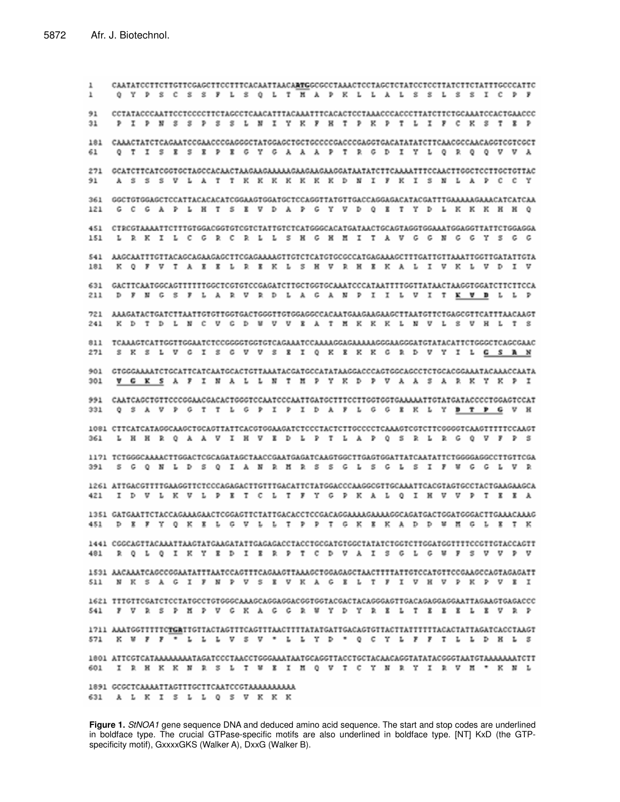CAATATCCTTCTTCTTCGAGCTTCCTTTCACAATTAACAATGGCGCCTAAACTCCTAGCTCTATCCTCCTTATCTTCTATTTGCCCATTC  $1\,$ O Y P S C S S F L S O L T H A P K L L A L S S L S S I C P F ÷. 91 PIPNSSPSSLNIYKFHTPKPTLIFCKSTRP  $31$ 181 CAAACTATCTCAGAATCCGAACCCGAGGGCTATGGAGCTGCTGCCCCGACCCGAGGTGACATATATCTTCAACGCCAACAGGTCGCCT Q T I S E S E P E G Y G A A A P T R G D I Y L Q R Q Q V V A 61 271 GCATCTTCATCGGTGCTAGCCACAACTAAGAAGAAAAAAGAAGAAGGATAATATCTTCAAAATTTCCAACTTGGCTCCTTGCTGTTAC A S S S U L A T T K K K K K K K K D M I F K I S M L A P C C Y 91 G C G A P L H T S E V D A P G Y V D Q E T Y D L K K K K H B Q  $121$ 451 CTRCGTAAAATTCTTTGTGGACGGTGTCGTCTATTGTCTCATGGGCACATGATAACTGCAGTAGGTGGAAATGGAGGTTATTCTGGAGGA 151 L R K I L C G R C R L L S H G H H I T A V G G N G G Y S G G 541 AAGCAATITGTTACAGCAGAAGAGCTTCGAGAAAAGTTGTCTCATGTGCGCCATGAGAAAGCTTTGATTGTTAAATTGGTTGATATTGTA K Q F V T A E E L R E K L S H V R H E K A L I V K L V D I V 181 631 GACTTCAATGGCAGTTTTTTGGCTCGTGTCCGAGATCTTGCTGGTGCAAATCCCATAATTTTGGTTATAACTAAGGTGGATCTTCTTCCA D F N G S F L A R V R D L A G A N P I I L V I T <u>K V B</u> L L P  $211$ 721 AAAGATACTGATCTTAATTGTGTTGGTGACTGGGTTGTGGAGGCCAAATGAAGAAGAAGCTTAATGTTCTGAGCGTTCATTTAACAAGT K D T D L N C V G D W V V E A T M K K K L N V L S V H L T S  $241$ 811 TCAAAGTCATTGGTTGGAATCTCCGGGGTGGTGTCAGAAATCCAAAAAGGAAAAAAGGGAAGGGATGTATACATTCTGGGCTCAGCGAAC S K S L V G I S G V V S E I Q K E K K G R D V Y I L <u>G S A N</u> 271 901 GTGGGAAAATCTGCATTCATCAATGCACTGTTAAATACGATGCCATATAAGGACCCAGTGGCAGCCTCTGCACGGAAATACAAACCAATA V G K S A F I N A L L N T H P Y K D P V A A S A R K Y K P I  $301$ 991 CAATCAGCTGTTCCCGGAACGACACTGGGTCCAATCCCAATTGATGCTTTCCTTGGTGGAAAAAATTGTATGATACCCCTGGAGTCCAT O S A V P G T T L G P I P I D A F L G G E K L Y B T P G V H  $331$ 1081 CITCATCATAGGCAAGCTGCAGTTATTCACGTGGAAGATCTCCCTACTCTTGCCCCTCAAAGTCGTCTTCGGGGTCAAGTTTTTCCAAGT 361 L H H R Q A A V I H V E D L P T L A P Q S R L R G Q V F P S 1171 TCTGGGCAAAACTTGGACTCGCAGATAGCTAACCGAATGAGATCAAGTGGCTTGAGTGGATTATCAATATTCTGGGGAGGCCTTGTTCGA 391 S G O N L D S O I A N R M R S S G L S G L S I P W G G L V R 1261 ATTGACGTTTTGAAGGTTCTCCCAGAGACTTGTTTGACATTCTATGGACCCAAGGCGTTGCAAATTCACGTAGTGCCTACTGAAGAAGCA I D V L K V L P E T C L T P Y G P K A L O I H V V P T E E A 421 1351 GATGAATICIACCAGAAAGAACICGGAGIICIAIIGACACCICCGACAGGAAAAGAAAAGGCAGAIGACIGGAIGGGACIIGAAACAAAG D E F Y Q K E L G V L L T P P T G K E K A D D W M G L E T K 451 481 R Q L Q I K Y E D I E R P T C D V A I S G L G W F S V V P V 1531 AACAAATCAGCCGGAATATTTAATCCAGTTTCAGAAGTTAAAGCTGGAGAGCTAACTTTTATTGTCCATGTTCCGAAGCCAGTAGAGATT N K S A G I F N P V S E V K A G E L T F I V H V P K P V E I 5.1.1 1621 TTTGTTCGATCTCCTATGCCTGTGGGCAAAGCAGGAGGACGGTGGTACGACTACAGGGAGTTGACAGAGGAGGAATTAGAAGTGAGACCC 541 F V R S P M P V G K A G G R W Y D Y R E L T E E E L E V R P 1711 AAATGGTITITCTGATTGTTACTAGTITCAGTITAACTTTTATATGATTGACAGTGTTACTTATTTTTTACACTATTAGATCACCTAAGT 571 K W F F <sup>F</sup> L L L V S V \* L L Y D \* Q C Y L F F T L L D H L S 1801 ATTCGTCATAAAAAAAATAGATCCCTAACCTGGGAAATAATGCAGGTTACCTGCTACAACAGGTATATACGGGTAATGTAAAAAAATCTT I R R K K R S L T W E I H Q V T C Y N R Y I R V H \* K N L 601 631 ALKISLOSVKKK

**Figure 1.** *StNOA1* gene sequence DNA and deduced amino acid sequence. The start and stop codes are underlined in boldface type. The crucial GTPase-specific motifs are also underlined in boldface type. [NT] KxD (the GTPspecificity motif), GxxxxGKS (Walker A), DxxG (Walker B).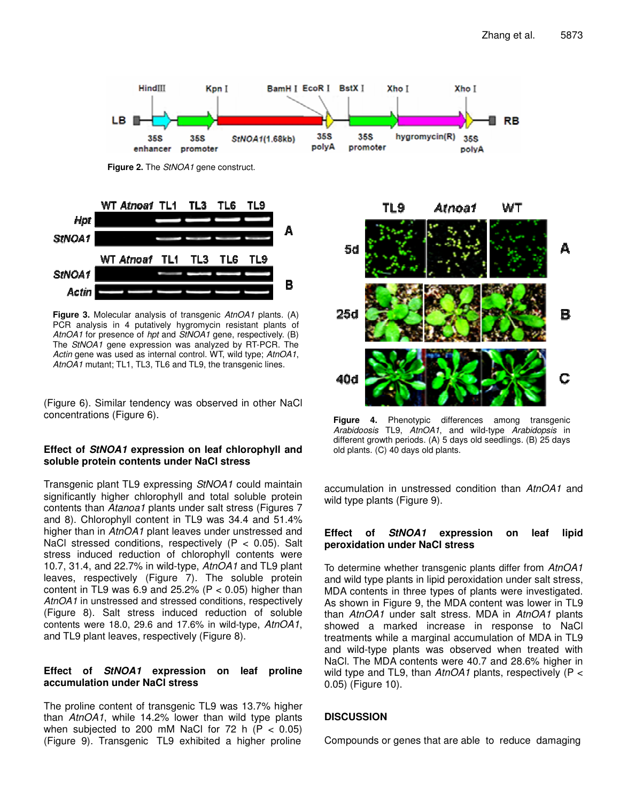

**Figure 2.** The *StNOA1* gene construct.



**Figure 3.** Molecular analysis of transgenic *AtnOA1* plants. (A) PCR analysis in 4 putatively hygromycin resistant plants of *AtnOA1* for presence of *hpt* and *StNOA1* gene, respectively. (B) The *StNOA1* gene expression was analyzed by RT-PCR. The *Actin* gene was used as internal control. WT, wild type; *AtnOA1*, *AtnOA1* mutant; TL1, TL3, TL6 and TL9, the transgenic lines.

(Figure 6). Similar tendency was observed in other NaCl concentrations (Figure 6).

## **Effect of** *StNOA1* **expression on leaf chlorophyll and soluble protein contents under NaCl stress**

Transgenic plant TL9 expressing *StNOA1* could maintain significantly higher chlorophyll and total soluble protein contents than *Atanoa1* plants under salt stress (Figures 7 and 8). Chlorophyll content in TL9 was 34.4 and 51.4% higher than in *AtnOA1* plant leaves under unstressed and NaCl stressed conditions, respectively  $(P < 0.05)$ . Salt stress induced reduction of chlorophyll contents were 10.7, 31.4, and 22.7% in wild-type, *AtnOA1* and TL9 plant leaves, respectively (Figure 7). The soluble protein content in TL9 was 6.9 and 25.2% ( $P < 0.05$ ) higher than *AtnOA1* in unstressed and stressed conditions, respectively (Figure 8). Salt stress induced reduction of soluble contents were 18.0, 29.6 and 17.6% in wild-type, *AtnOA1*, and TL9 plant leaves, respectively (Figure 8).

## **Effect of** *StNOA1* **expression on leaf proline accumulation under NaCl stress**

The proline content of transgenic TL9 was 13.7% higher than *AtnOA1*, while 14.2% lower than wild type plants when subjected to 200 mM NaCl for 72 h ( $P < 0.05$ ) (Figure 9). Transgenic TL9 exhibited a higher proline



**Figure 4.** Phenotypic differences among transgenic *Arabidoosis* TL9, *AtnOA1*, and wild-type *Arabidopsis* in different growth periods. (A) 5 days old seedlings. (B) 25 days old plants. (C) 40 days old plants.

accumulation in unstressed condition than *AtnOA1* and wild type plants (Figure 9).

## **Effect of** *StNOA1* **expression on leaf lipid peroxidation under NaCl stress**

To determine whether transgenic plants differ from *AtnOA1* and wild type plants in lipid peroxidation under salt stress, MDA contents in three types of plants were investigated. As shown in Figure 9, the MDA content was lower in TL9 than *AtnOA1* under salt stress. MDA in *AtnOA1* plants showed a marked increase in response to NaCl treatments while a marginal accumulation of MDA in TL9 and wild-type plants was observed when treated with NaCl. The MDA contents were 40.7 and 28.6% higher in wild type and TL9, than *AtnOA1* plants, respectively (P < 0.05) (Figure 10).

# **DISCUSSION**

Compounds or genes that are able to reduce damaging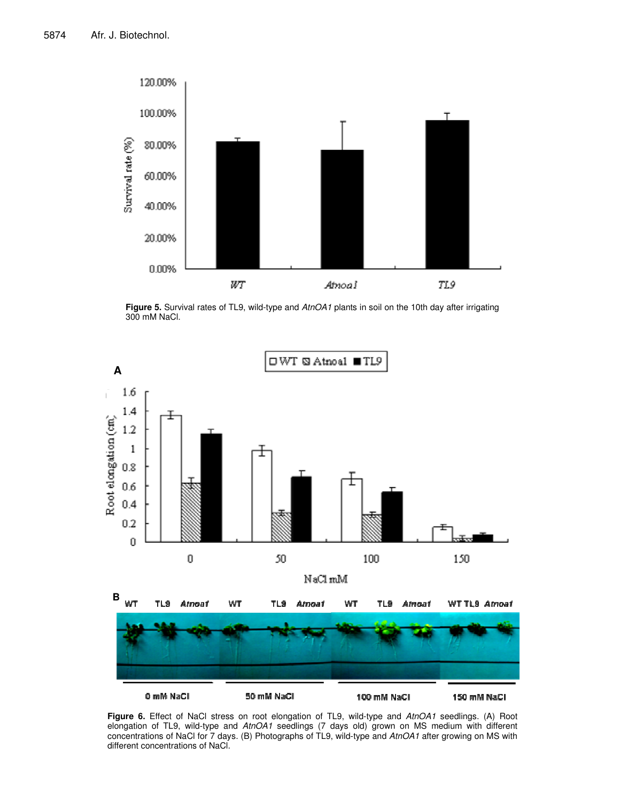

**Figure 5.** Survival rates of TL9, wild-type and *AtnOA1* plants in soil on the 10th day after irrigating 300 mM NaCl.



**Figure 6.** Effect of NaCl stress on root elongation of TL9, wild-type and *AtnOA1* seedlings. (A) Root elongation of TL9, wild-type and *AtnOA1* seedlings (7 days old) grown on MS medium with different concentrations of NaCl for 7 days. (B) Photographs of TL9, wild-type and *AtnOA1* after growing on MS with different concentrations of NaCl.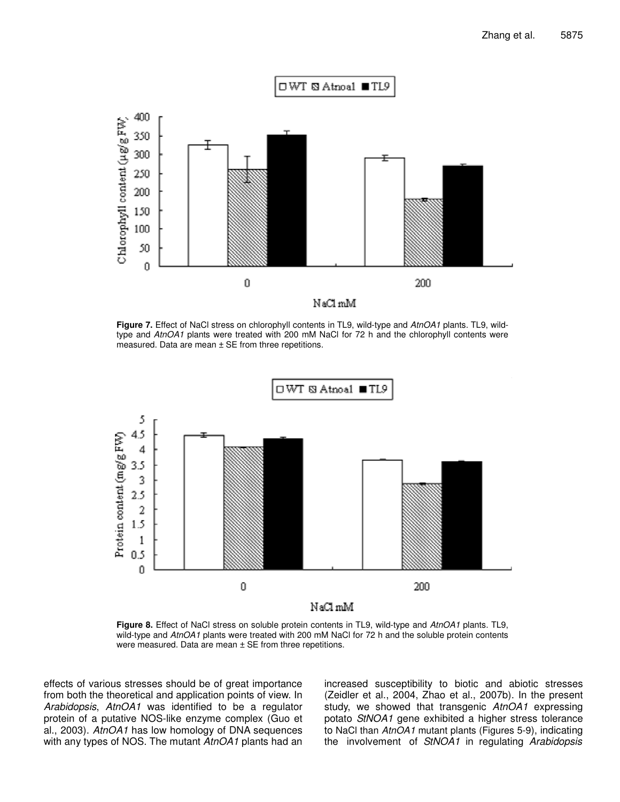

**Figure 7.** Effect of NaCl stress on chlorophyll contents in TL9, wild-type and *AtnOA1* plants. TL9, wildtype and *AtnOA1* plants were treated with 200 mM NaCl for 72 h and the chlorophyll contents were measured. Data are mean ± SE from three repetitions.



**Figure 8.** Effect of NaCl stress on soluble protein contents in TL9, wild-type and *AtnOA1* plants. TL9, wild-type and *AtnOA1* plants were treated with 200 mM NaCl for 72 h and the soluble protein contents were measured. Data are mean ± SE from three repetitions.

effects of various stresses should be of great importance from both the theoretical and application points of view. In *Arabidopsis*, *AtnOA1* was identified to be a regulator protein of a putative NOS-like enzyme complex (Guo et al., 2003). *AtnOA1* has low homology of DNA sequences with any types of NOS. The mutant *AtnOA1* plants had an increased susceptibility to biotic and abiotic stresses (Zeidler et al., 2004, Zhao et al., 2007b). In the present study, we showed that transgenic *AtnOA1* expressing potato *StNOA1* gene exhibited a higher stress tolerance to NaCl than *AtnOA1* mutant plants (Figures 5-9), indicating the involvement of *StNOA1* in regulating *Arabidopsis*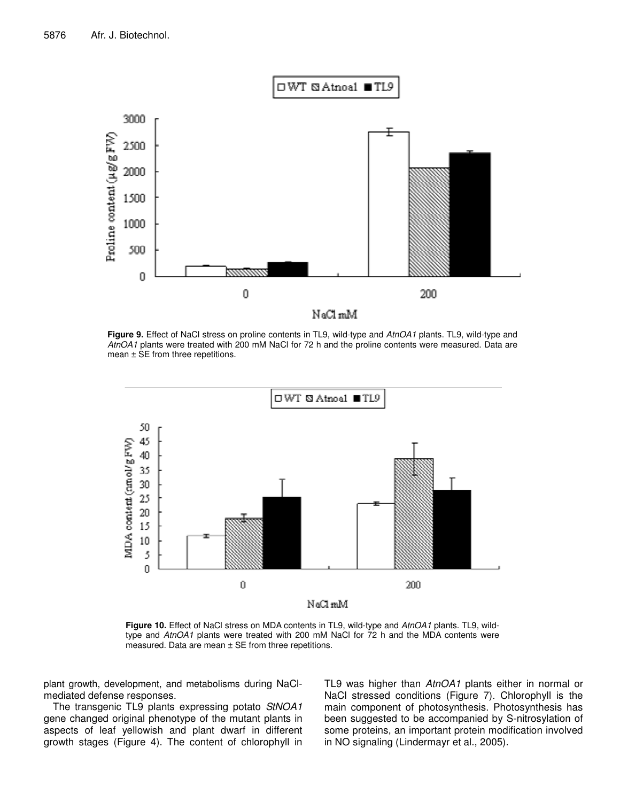

**Figure 9.** Effect of NaCl stress on proline contents in TL9, wild-type and *AtnOA1* plants. TL9, wild-type and *AtnOA1* plants were treated with 200 mM NaCl for 72 h and the proline contents were measured. Data are mean ± SE from three repetitions.



**Figure 10.** Effect of NaCl stress on MDA contents in TL9, wild-type and *AtnOA1* plants. TL9, wildtype and *AtnOA1* plants were treated with 200 mM NaCl for 72 h and the MDA contents were measured. Data are mean ± SE from three repetitions.

plant growth, development, and metabolisms during NaClmediated defense responses.

The transgenic TL9 plants expressing potato *StNOA1* gene changed original phenotype of the mutant plants in aspects of leaf yellowish and plant dwarf in different growth stages (Figure 4). The content of chlorophyll in TL9 was higher than *AtnOA1* plants either in normal or NaCl stressed conditions (Figure 7). Chlorophyll is the main component of photosynthesis. Photosynthesis has been suggested to be accompanied by S-nitrosylation of some proteins, an important protein modification involved in NO signaling (Lindermayr et al., 2005).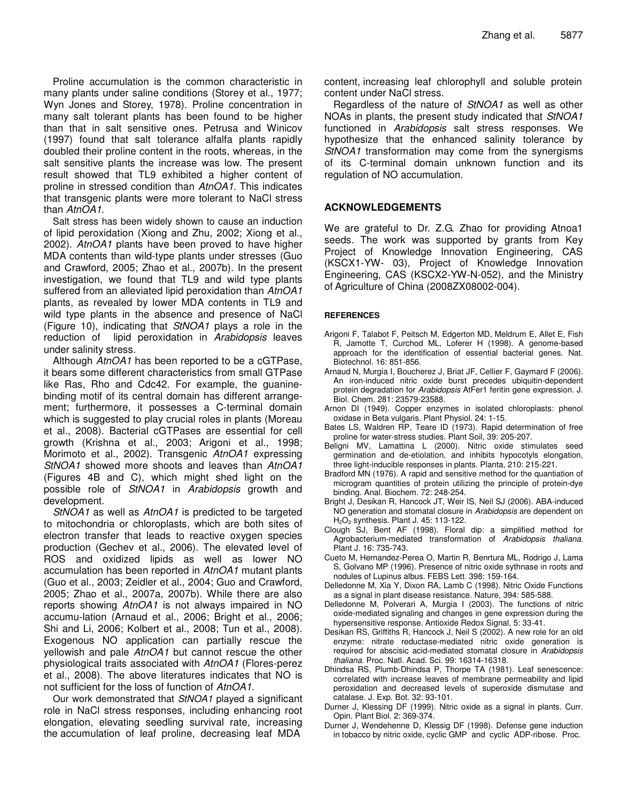Proline accumulation is the common characteristic in many plants under saline conditions (Storey et al., 1977; Wyn Jones and Storey, 1978). Proline concentration in many salt tolerant plants has been found to be higher than that in salt sensitive ones. Petrusa and Winicov (1997) found that salt tolerance alfalfa plants rapidly doubled their proline content in the roots, whereas, in the salt sensitive plants the increase was low. The present result showed that TL9 exhibited a higher content of proline in stressed condition than *AtnOA1*. This indicates that transgenic plants were more tolerant to NaCl stress than *AtnOA1*.

Salt stress has been widely shown to cause an induction of lipid peroxidation (Xiong and Zhu, 2002; Xiong et al., 2002). *AtnOA1* plants have been proved to have higher MDA contents than wild-type plants under stresses (Guo and Crawford, 2005; Zhao et al., 2007b). In the present investigation, we found that TL9 and wild type plants suffered from an alleviated lipid peroxidation than *AtnOA1* plants, as revealed by lower MDA contents in TL9 and wild type plants in the absence and presence of NaCl (Figure 10), indicating that *StNOA1* plays a role in the reduction of lipid peroxidation in *Arabidopsis* leaves under salinity stress.

Although *AtnOA1* has been reported to be a cGTPase, it bears some different characteristics from small GTPase like Ras, Rho and Cdc42. For example, the guaninebinding motif of its central domain has different arrangement; furthermore, it possesses a C-terminal domain which is suggested to play crucial roles in plants (Moreau et al., 2008). Bacterial cGTPases are essential for cell growth (Krishna et al., 2003; Arigoni et al., 1998; Morimoto et al., 2002). Transgenic *AtnOA1* expressing *StNOA1* showed more shoots and leaves than *AtnOA1* (Figures 4B and C), which might shed light on the possible role of *StNOA1* in *Arabidopsis* growth and development.

*StNOA1* as well as *AtnOA1* is predicted to be targeted to mitochondria or chloroplasts, which are both sites of electron transfer that leads to reactive oxygen species production (Gechev et al., 2006). The elevated level of ROS and oxidized lipids as well as lower NO accumulation has been reported in *AtnOA1* mutant plants (Guo et al., 2003; Zeidler et al., 2004; Guo and Crawford, 2005; Zhao et al., 2007a, 2007b). While there are also reports showing *AtnOA1* is not always impaired in NO accumu-lation (Arnaud et al., 2006; Bright et al., 2006; Shi and Li, 2006; Kolbert et al., 2008; Tun et al., 2008). Exogenous NO application can partially rescue the yellowish and pale *AtnOA1* but cannot rescue the other physiological traits associated with *AtnOA1* (Flores-perez et al., 2008). The above literatures indicates that NO is not sufficient for the loss of function of *AtnOA1*.

Our work demonstrated that *StNOA1* played a significant role in NaCl stress responses, including enhancing root elongation, elevating seedling survival rate, increasing the accumulation of leaf proline, decreasing leaf MDA

content, increasing leaf chlorophyll and soluble protein content under NaCl stress.

Regardless of the nature of *StNOA1* as well as other NOAs in plants, the present study indicated that *StNOA1* functioned in *Arabidopsis* salt stress responses. We hypothesize that the enhanced salinity tolerance by *StNOA1* transformation may come from the synergisms of its C-terminal domain unknown function and its regulation of NO accumulation.

# **ACKNOWLEDGEMENTS**

We are grateful to Dr. Z.G. Zhao for providing Atnoa1 seeds. The work was supported by grants from Key Project of Knowledge Innovation Engineering, CAS (KSCX1-YW- 03), Project of Knowledge Innovation Engineering, CAS (KSCX2-YW-N-052), and the Ministry of Agriculture of China (2008ZX08002-004).

## **REFERENCES**

- Arigoni F, Talabot F, Peitsch M, Edgerton MD, Meldrum E, Allet E, Fish R, Jamotte T, Curchod ML, Loferer H (1998). A genome-based approach for the identification of essential bacterial genes. Nat. Biotechnol. 16: 851-856.
- Arnaud N, Murgia I, Boucherez J, Briat JF, Cellier F, Gaymard F (2006). An iron-induced nitric oxide burst precedes ubiquitin-dependent protein degradation for *Arabidopsis* AtFer1 feritin gene expression. J. Biol. Chem. 281: 23579-23588.
- Arnon DI (1949). Copper enzymes in isolated chloroplasts: phenol oxidase in Beta vulgaris. Plant Physiol. 24: 1-15.
- Bates LS, Waldren RP, Teare ID (1973). Rapid determination of free proline for water-stress studies. Plant Soil, 39: 205-207.
- Beligni MV, Lamattina L (2000). Nitric oxide stimulates seed germination and de-etiolation, and inhibits hypocotyls elongation, three light-inducible responses in plants. Planta, 210: 215-221.
- Bradford MN (1976). A rapid and sensitive method for the quantiation of microgram quantities of protein utilizing the principle of protein-dye binding. Anal. Biochem. 72: 248-254.
- Bright J, Desikan R, Hancock JT, Weir IS, Neil SJ (2006). ABA-induced NO generation and stomatal closure in *Arabidopsis* are dependent on H2O<sup>2</sup> synthesis. Plant J. 45: 113-122.
- Clough SJ, Bent AF (1998). Floral dip: a simplified method for Agrobacterium-mediated transformation of *Arabidopsis thaliana*. Plant J. 16: 735-743.
- Cueto M, Hernandez-Perea O, Martin R, Benrtura ML, Rodrigo J, Lama S, Golvano MP (1996). Presence of nitric oxide sythnase in roots and nodules of Lupinus albus. FEBS Lett. 398: 159-164.
- Delledonne M, Xia Y, Dixon RA, Lamb C (1998). Nitric Oxide Functions as a signal in plant disease resistance. Nature, 394: 585-588.
- Delledonne M, Polverari A, Murgia I (2003). The functions of nitric oxide-mediated signaling and changes in gene expression during the hypersensitive response. Antioxide Redox Signal, 5: 33-41.
- Desikan RS, Griffiths R, Hancock J, Neil S (2002). A new role for an old enzyme: nitrate reductase-mediated nitric oxide generation is required for abscisic acid-mediated stomatal closure in *Arabidopsis thaliana*. Proc. Natl. Acad. Sci. 99: 16314-16318.
- Dhindsa RS, Plumb-Dhindsa P, Thorpe TA (1981). Leaf senescence: correlated with increase leaves of membrane permeability and lipid peroxidation and decreased levels of superoxide dismutase and catalase. J. Exp. Bot. 32: 93-101.
- Durner J, Klessing DF (1999). Nitric oxide as a signal in plants. Curr. Opin. Plant Biol. 2: 369-374.
- Durner J, Wendehenne D, Klessig DF (1998). Defense gene induction in tobacco by nitric oxide, cyclic GMP and cyclic ADP-ribose. Proc.